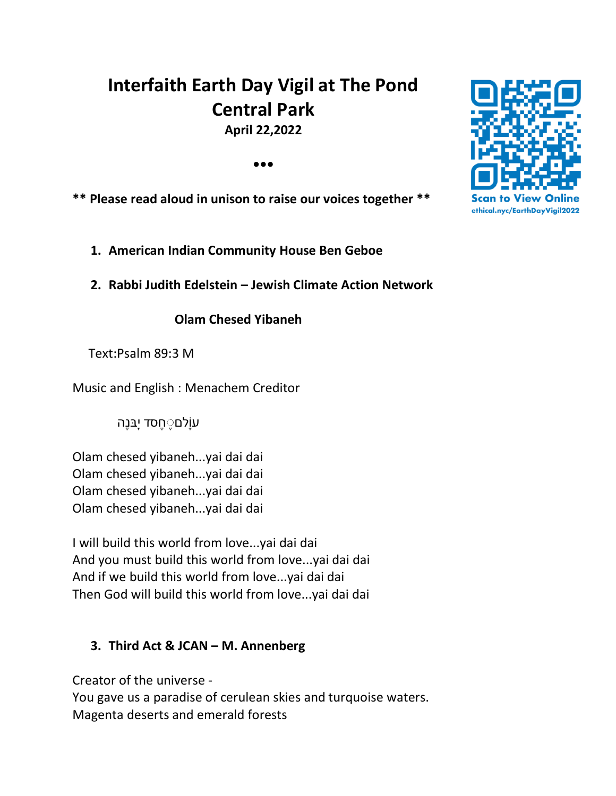# **Interfaith Earth Day Vigil at The Pond Central Park April 22,2022**

**•••**

**\*\* Please read aloud in unison to raise our voices together \*\***

**1. American Indian Community House Ben Geboe**

**2. Rabbi Judith Edelstein – Jewish Climate Action Network**

 **Olam Chesed Yibaneh** 

Text:Psalm 89:3 M

Music and English : Menachem Creditor

עוָֹלם ֶ חֶ סד י ָֹּבנֶה

Olam chesed yibaneh...yai dai dai Olam chesed yibaneh...yai dai dai Olam chesed yibaneh...yai dai dai Olam chesed yibaneh...yai dai dai

I will build this world from love...yai dai dai And you must build this world from love...yai dai dai And if we build this world from love...yai dai dai Then God will build this world from love...yai dai dai

# **3. Third Act & JCAN – M. Annenberg**

Creator of the universe - You gave us a paradise of cerulean skies and turquoise waters. Magenta deserts and emerald forests

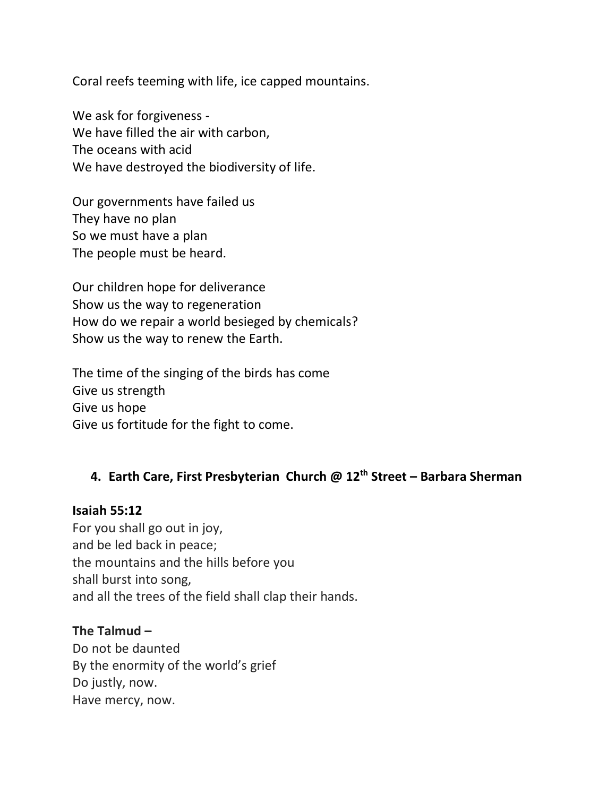Coral reefs teeming with life, ice capped mountains.

We ask for forgiveness - We have filled the air with carbon, The oceans with acid We have destroyed the biodiversity of life.

Our governments have failed us They have no plan So we must have a plan The people must be heard.

Our children hope for deliverance Show us the way to regeneration How do we repair a world besieged by chemicals? Show us the way to renew the Earth.

The time of the singing of the birds has come Give us strength Give us hope Give us fortitude for the fight to come.

# **4. Earth Care, First Presbyterian Church @ 12th Street – Barbara Sherman**

**Isaiah 55:12**

For you shall go out in joy, and be led back in peace; the mountains and the hills before you shall burst into song, and all the trees of the field shall clap their hands.

#### **The Talmud –**

Do not be daunted By the enormity of the world's grief Do justly, now. Have mercy, now.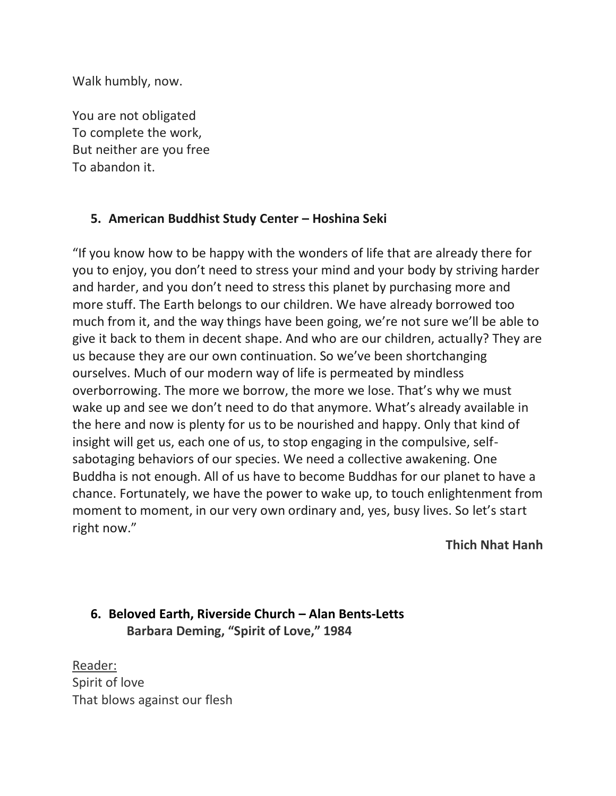Walk humbly, now.

You are not obligated To complete the work, But neither are you free To abandon it.

## **5. American Buddhist Study Center – Hoshina Seki**

"If you know how to be happy with the wonders of life that are already there for you to enjoy, you don't need to stress your mind and your body by striving harder and harder, and you don't need to stress this planet by purchasing more and more stuff. The Earth belongs to our children. We have already borrowed too much from it, and the way things have been going, we're not sure we'll be able to give it back to them in decent shape. And who are our children, actually? They are us because they are our own continuation. So we've been shortchanging ourselves. Much of our modern way of life is permeated by mindless overborrowing. The more we borrow, the more we lose. That's why we must wake up and see we don't need to do that anymore. What's already available in the here and now is plenty for us to be nourished and happy. Only that kind of insight will get us, each one of us, to stop engaging in the compulsive, selfsabotaging behaviors of our species. We need a collective awakening. One Buddha is not enough. All of us have to become Buddhas for our planet to have a chance. Fortunately, we have the power to wake up, to touch enlightenment from moment to moment, in our very own ordinary and, yes, busy lives. So let's start right now."

**Thich Nhat Hanh**

# **6. Beloved Earth, Riverside Church – Alan Bents-Letts Barbara Deming, "Spirit of Love," 1984**

Reader: Spirit of love That blows against our flesh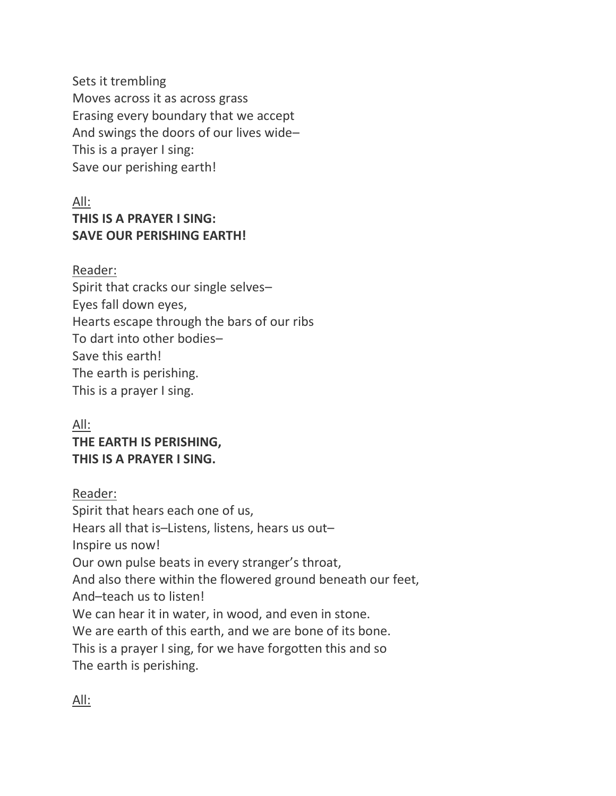Sets it trembling Moves across it as across grass Erasing every boundary that we accept And swings the doors of our lives wide– This is a prayer I sing: Save our perishing earth!

# All: **THIS IS A PRAYER I SING: SAVE OUR PERISHING EARTH!**

#### Reader:

Spirit that cracks our single selves– Eyes fall down eyes, Hearts escape through the bars of our ribs To dart into other bodies– Save this earth! The earth is perishing. This is a prayer I sing.

# All: **THE EARTH IS PERISHING, THIS IS A PRAYER I SING.**

### Reader:

Spirit that hears each one of us, Hears all that is–Listens, listens, hears us out– Inspire us now! Our own pulse beats in every stranger's throat, And also there within the flowered ground beneath our feet, And–teach us to listen! We can hear it in water, in wood, and even in stone. We are earth of this earth, and we are bone of its bone. This is a prayer I sing, for we have forgotten this and so The earth is perishing.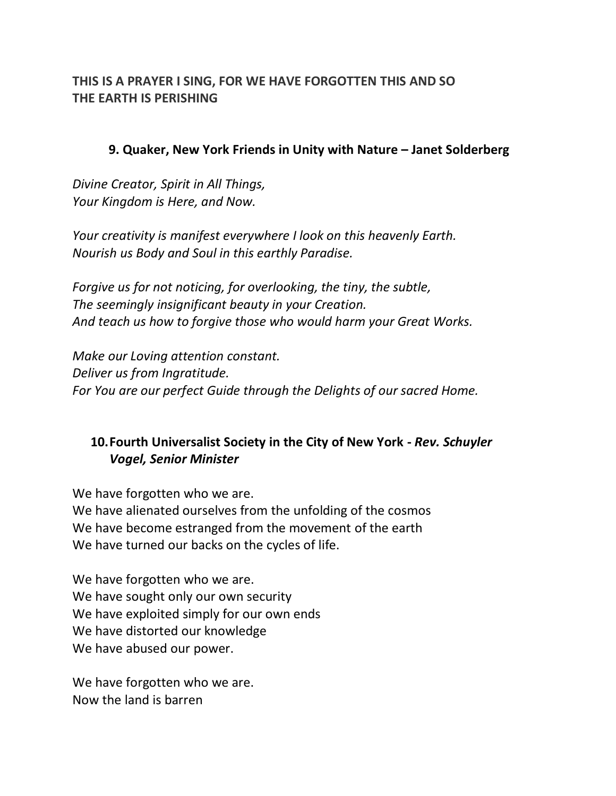## **THIS IS A PRAYER I SING, FOR WE HAVE FORGOTTEN THIS AND SO THE EARTH IS PERISHING**

#### **9. Quaker, New York Friends in Unity with Nature – Janet Solderberg**

*Divine Creator, Spirit in All Things, Your Kingdom is Here, and Now.*

*Your creativity is manifest everywhere I look on this heavenly Earth. Nourish us Body and Soul in this earthly Paradise.*

*Forgive us for not noticing, for overlooking, the tiny, the subtle, The seemingly insignificant beauty in your Creation. And teach us how to forgive those who would harm your Great Works.*

*Make our Loving attention constant. Deliver us from Ingratitude. For You are our perfect Guide through the Delights of our sacred Home.*

## **10.Fourth Universalist Society in the City of New York -** *Rev. Schuyler Vogel, Senior Minister*

We have forgotten who we are. We have alienated ourselves from the unfolding of the cosmos We have become estranged from the movement of the earth We have turned our backs on the cycles of life.

We have forgotten who we are. We have sought only our own security We have exploited simply for our own ends We have distorted our knowledge We have abused our power.

We have forgotten who we are. Now the land is barren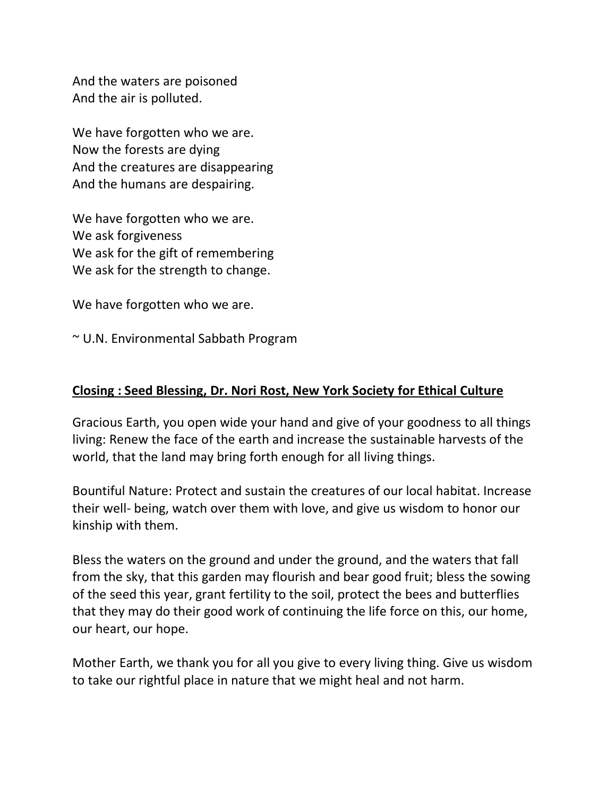And the waters are poisoned And the air is polluted.

We have forgotten who we are. Now the forests are dying And the creatures are disappearing And the humans are despairing.

We have forgotten who we are. We ask forgiveness We ask for the gift of remembering We ask for the strength to change.

We have forgotten who we are.

~ U.N. Environmental Sabbath Program

#### **Closing : Seed Blessing, Dr. Nori Rost, New York Society for Ethical Culture**

Gracious Earth, you open wide your hand and give of your goodness to all things living: Renew the face of the earth and increase the sustainable harvests of the world, that the land may bring forth enough for all living things.

Bountiful Nature: Protect and sustain the creatures of our local habitat. Increase their well- being, watch over them with love, and give us wisdom to honor our kinship with them.

Bless the waters on the ground and under the ground, and the waters that fall from the sky, that this garden may flourish and bear good fruit; bless the sowing of the seed this year, grant fertility to the soil, protect the bees and butterflies that they may do their good work of continuing the life force on this, our home, our heart, our hope.

Mother Earth, we thank you for all you give to every living thing. Give us wisdom to take our rightful place in nature that we might heal and not harm.